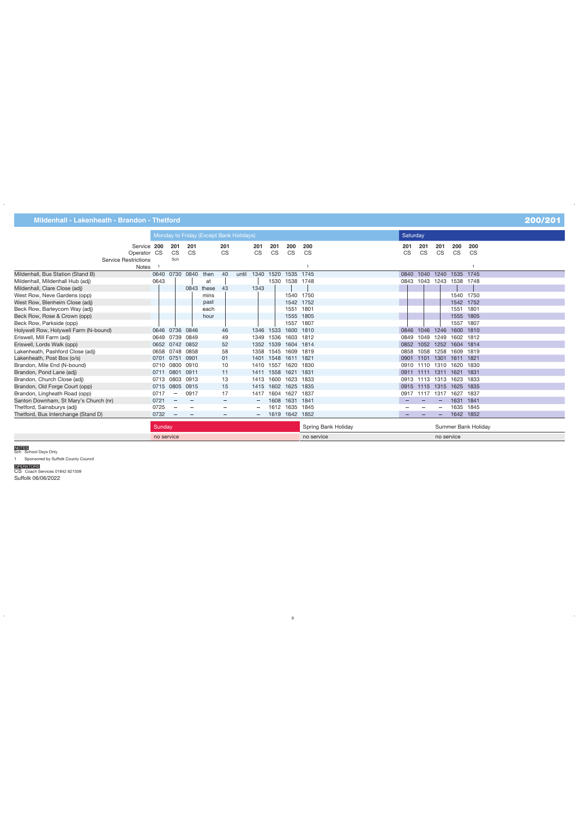|                                       |        |                          |                                 | Monday to Friday (Except Bank Holidays) |                                 |       |           |           |                |                     | <b>Saturday</b>                 |           |                |                          |                     |
|---------------------------------------|--------|--------------------------|---------------------------------|-----------------------------------------|---------------------------------|-------|-----------|-----------|----------------|---------------------|---------------------------------|-----------|----------------|--------------------------|---------------------|
| Service 200                           |        | 201                      | 201                             |                                         | 201                             |       | 201       | 201       | 200            | 200                 | 201                             | 201       | 201            | 200                      | 200                 |
| Operator CS                           |        | <b>CS</b>                | <b>CS</b>                       |                                         | <b>CS</b>                       |       | <b>CS</b> | <b>CS</b> | <b>CS</b>      | <b>CS</b>           | <b>CS</b>                       | <b>CS</b> | <b>CS</b>      | <b>CS</b>                | <b>CS</b>           |
| <b>Service Restrictions</b>           |        | Sch                      |                                 |                                         |                                 |       |           |           |                |                     |                                 |           |                |                          |                     |
| <b>Notes</b>                          |        |                          |                                 |                                         |                                 |       |           |           |                |                     |                                 |           |                |                          |                     |
| Mildenhall, Bus Station (Stand B)     |        |                          | 0640 0730 0840                  | then                                    | 40                              | until | 1340      | 1520      | 1535 1745      |                     | 0840                            |           | 1040 1240      | 1535 1745                |                     |
| Mildenhall, Mildenhall Hub (adj)      | 0643   |                          |                                 | at                                      |                                 |       |           |           | 1530 1538 1748 |                     | 0843                            | 1043      |                | 1243 1538 1748           |                     |
| Mildenhall, Clare Close (adj)         |        |                          |                                 | 0843 these                              | 43                              |       | 1343      |           |                |                     |                                 |           |                |                          |                     |
| West Row, Neve Gardens (opp)          |        |                          |                                 | mins                                    |                                 |       |           |           | 1540 1750      |                     |                                 |           |                | 1540 1750                |                     |
| West Row, Blenheim Close (adj)        |        |                          |                                 | past                                    |                                 |       |           |           | 1542 1752      |                     |                                 |           |                | 1542 1752                |                     |
| Beck Row, Barleycorn Way (adj)        |        |                          |                                 | each                                    |                                 |       |           |           | 1551           | 1801                |                                 |           |                | 1551 1801                |                     |
| Beck Row, Rose & Crown (opp)          |        |                          |                                 | hour                                    |                                 |       |           |           | 1555 1805      |                     |                                 |           |                | 1555 1805                |                     |
| Beck Row, Parkside (opp)              |        |                          |                                 |                                         |                                 |       |           |           | 1557           | 1807                |                                 |           |                | 1557 1807                |                     |
| Holywell Row, Holywell Farm (N-bound) |        | 0646 0736 0846           |                                 |                                         | 46                              |       | 1346 1533 |           | 1600 1810      |                     | 0846                            |           | 1046 1246      | 1600 1810                |                     |
| Eriswell, Mill Farm (adj)             |        | 0649 0739 0849           |                                 |                                         | 49                              |       | 1349      | 1536      | 1603 1812      |                     | 0849                            | 1049      | 1249           | 1602 1812                |                     |
| Eriswell, Lords Walk (opp)            |        | 0652 0742 0852           |                                 |                                         | 52                              |       | 1352      | 1539      | 1604 1814      |                     | 0852                            | 1052      |                | 1252 1604 1814           |                     |
| Lakenheath, Pashford Close (adj)      |        | 0658 0748 0858           |                                 |                                         | 58                              |       | 1358 1545 |           | 1609 1819      |                     | 0858                            | 1058      | 1258           | 1609 1819                |                     |
| Lakenheath, Post Box (o/s)            | 0701   | 0751                     | 0901                            |                                         | 01                              |       | 1401      | 1548      | 1611 1821      |                     | 0901                            | 1101      | 1301           | 1611 1821                |                     |
| Brandon, Mile End (N-bound)           | 0710   | 0800                     | 0910                            |                                         | 10                              |       | 1410 1557 |           | 1620 1830      |                     |                                 | 0910 1110 | 1310           | 1620 1830                |                     |
| Brandon, Pond Lane (adj)              | 0711   | 0801                     | 0911                            |                                         | 11                              |       | 1411 1558 |           | 1621 1831      |                     | 0911                            | 1111      | 1311           | 1621 1831                |                     |
| Brandon, Church Close (adj)           |        | 0713 0803 0913           |                                 |                                         | 13                              |       | 1413      | 1600      | 1623 1833      |                     |                                 | 0913 1113 | 1313           | 1623 1833                |                     |
| Brandon, Old Forge Court (opp)        |        | 0715 0805                | 0915                            |                                         | 15                              |       | 1415      | 1602      | 1625 1835      |                     |                                 |           | 0915 1115 1315 | 1625 1835                |                     |
| Brandon, Lingheath Road (opp)         | 0717   | $\overline{\phantom{a}}$ | 0917                            |                                         | 17                              |       | 1417      | 1604      | 1627 1837      |                     |                                 |           |                | 0917 1117 1317 1627 1837 |                     |
| Santon Downham, St Mary's Church (nr) | 0721   |                          |                                 |                                         | $\overline{\phantom{a}}$        |       |           | 1608      | 1631           | 1841                |                                 |           |                | 1631 1841                |                     |
| Thetford, Sainsburys (adj)            | 0725   |                          | $\qquad \qquad -$               |                                         | $\longrightarrow$               |       |           |           | 1612 1635 1845 |                     |                                 |           |                |                          | 1635 1845           |
| Thetford, Bus Interchange (Stand D)   | 0732   |                          | $\hspace{0.1mm}-\hspace{0.1mm}$ |                                         | $\hspace{0.1mm}-\hspace{0.1mm}$ |       |           |           | 1619 1642 1852 |                     | $\hspace{0.1mm}-\hspace{0.1mm}$ |           |                | 1642 1852                |                     |
|                                       | Sundow |                          |                                 |                                         |                                 |       |           |           |                | Spring Rank Holiday |                                 |           |                |                          | Summer Bank Holiday |

| <b>Bulliud</b> V | . Holidav<br>Spring Bank | Summer Bank Holiday |
|------------------|--------------------------|---------------------|
| no service       | no service               | no service          |

## NOTES Sch School Days Only

1 Sponsored by Suffolk County Council

OPERATORS<br>CS Coach Services 01842 821509 Suffolk 06/06/2022